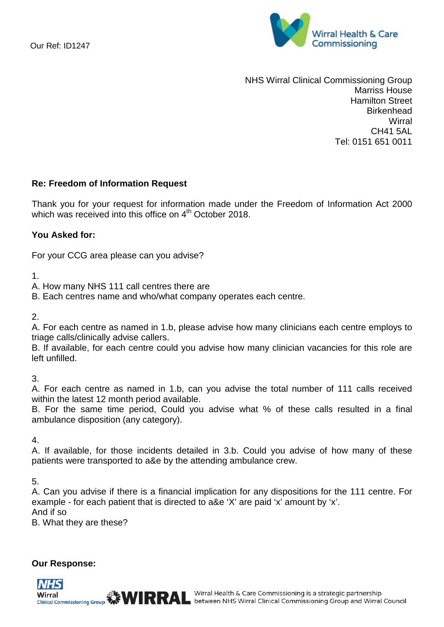

NHS Wirral Clinical Commissioning Group Marriss House Hamilton Street **Birkenhead Wirral** CH41 5AL Tel: 0151 651 0011

## **Re: Freedom of Information Request**

Thank you for your request for information made under the Freedom of Information Act 2000 which was received into this office on  $4^{\text{th}}$  October 2018.

# **You Asked for:**

For your CCG area please can you advise?

1.

- A. How many NHS 111 call centres there are
- B. Each centres name and who/what company operates each centre.

### 2.

A. For each centre as named in 1.b, please advise how many clinicians each centre employs to triage calls/clinically advise callers.

B. If available, for each centre could you advise how many clinician vacancies for this role are left unfilled.

3.

A. For each centre as named in 1.b, can you advise the total number of 111 calls received within the latest 12 month period available.

B. For the same time period, Could you advise what % of these calls resulted in a final ambulance disposition (any category).

4.

A. If available, for those incidents detailed in 3.b. Could you advise of how many of these patients were transported to a&e by the attending ambulance crew.

5.

A. Can you advise if there is a financial implication for any dispositions for the 111 centre. For example - for each patient that is directed to a&e 'X' are paid 'x' amount by 'x'. And if so

B. What they are these?

## **Our Response:**